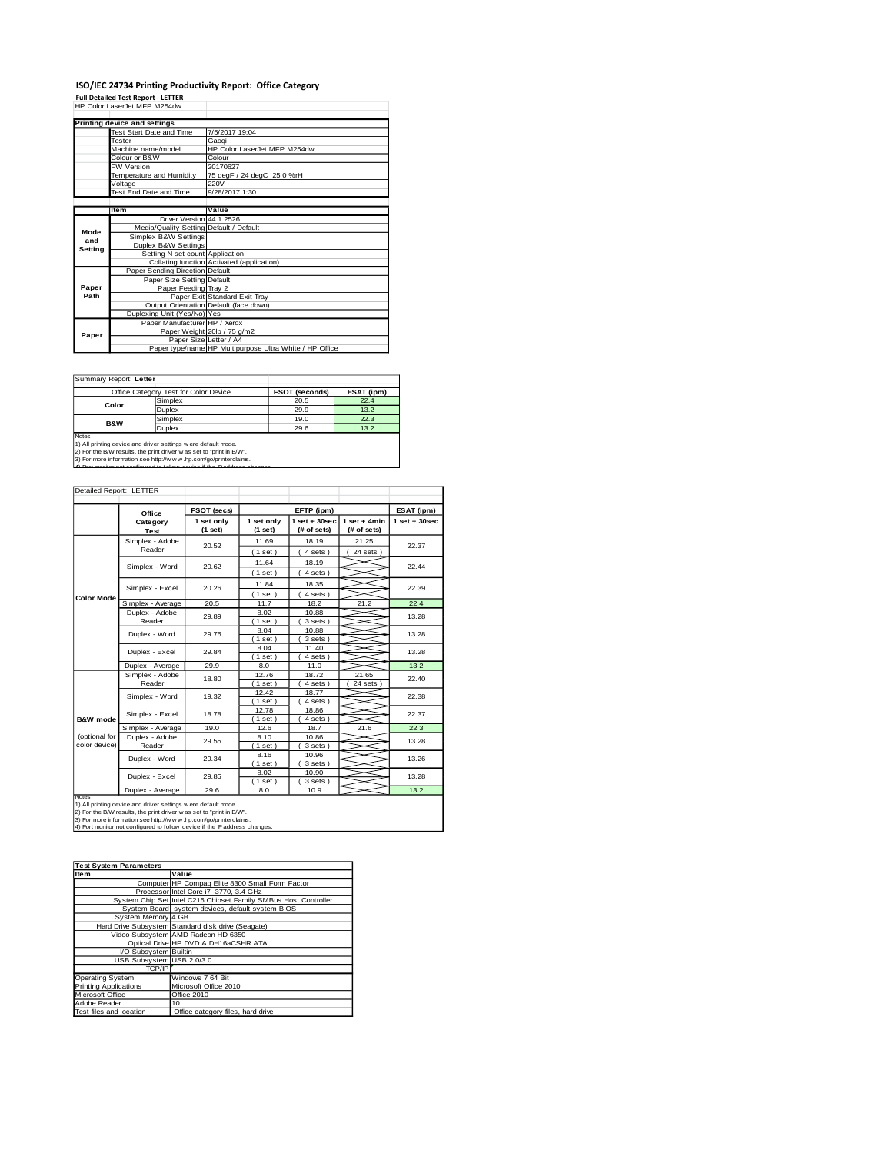#### **ISO/IEC 24734 Printing Productivity Report: Office Category Full Detailed Test Report - LETTER** HP Color LaserJet MFP M254dw

|         | Printing device and settings            |                                                         |
|---------|-----------------------------------------|---------------------------------------------------------|
|         | Test Start Date and Time                | 7/5/2017 19:04                                          |
|         | Tester                                  | Gaogi                                                   |
|         | Machine name/model                      | HP Color LaserJet MFP M254dw                            |
|         | Colour or B&W                           | Colour                                                  |
|         | <b>FW Version</b>                       | 20170627                                                |
|         | Temperature and Humidity                | 75 degF / 24 degC 25.0 %rH                              |
|         | Voltage                                 | 220V                                                    |
|         | Test End Date and Time                  | 9/28/2017 1:30                                          |
|         |                                         |                                                         |
|         | Item                                    | Value                                                   |
|         | Driver Version 44.1.2526                |                                                         |
| Mode    | Media/Quality Setting Default / Default |                                                         |
| and     | Simplex B&W Settings                    |                                                         |
| Setting | Duplex B&W Settings                     |                                                         |
|         | Setting N set count Application         |                                                         |
|         |                                         | Collating function Activated (application)              |
|         | Paper Sending Direction Default         |                                                         |
|         | Paper Size Setting Default              |                                                         |
| Paper   | Paper Feeding Tray 2                    |                                                         |
| Path    |                                         | Paper Exit Standard Exit Tray                           |
|         |                                         | Output Orientation Default (face down)                  |
|         | Duplexing Unit (Yes/No) Yes             |                                                         |
|         | Paper Manufacturer HP / Xerox           |                                                         |
| Paper   |                                         | Paper Weight 20lb / 75 g/m2                             |
|         | Paper Size Letter / A4                  |                                                         |
|         |                                         | Paper type/name HP Multipurpose Ultra White / HP Office |

Summary Report: **Letter**

|                                                                                                                                        | Office Category Test for Color Device | <b>FSOT (seconds)</b> | ESAT (ipm) |  |  |  |
|----------------------------------------------------------------------------------------------------------------------------------------|---------------------------------------|-----------------------|------------|--|--|--|
|                                                                                                                                        | Simplex                               | 20.5                  | 22.4       |  |  |  |
| Color                                                                                                                                  | Duplex                                | 29.9                  | 13.2       |  |  |  |
| <b>B&amp;W</b>                                                                                                                         | Simplex                               | 19.0                  | 22.3       |  |  |  |
|                                                                                                                                        | <b>Duplex</b>                         | 29.6                  | 13.2       |  |  |  |
| <b>Notes</b>                                                                                                                           |                                       |                       |            |  |  |  |
| 1) All printing device and driver settings w ere default mode.<br>2) For the B/W results, the print driver w as set to "print in B/W". |                                       |                       |            |  |  |  |

2) For the B/W results, the print driver w as set to "print in B/W".<br>3) For more information see http://w w w .hp.com/go/printerclaims.<br>4) Port monitor not configured to follow device if the IP address changes.

| Detailed Report: LETTER        |                           |                       |                       |                                            |                               |                    |
|--------------------------------|---------------------------|-----------------------|-----------------------|--------------------------------------------|-------------------------------|--------------------|
|                                | Office                    | FSOT (secs)           |                       | EFTP (ipm)                                 |                               | ESAT (ipm)         |
|                                | Category<br>Test          | 1 set only<br>(1 set) | 1 set only<br>(1 set) | $1$ set + 30sec<br>(# of sets)             | $1$ set + 4min<br>(# of sets) | $1$ set + $30$ sec |
|                                | Simplex - Adobe<br>Reader | 20.52                 | 11.69<br>(1 set)      | 18.19<br>21.25<br>$24$ sets $)$<br>4 sets) |                               | 22.37              |
|                                | Simplex - Word            | 20.62                 | 11.64<br>(1 set)      | 18.19<br>4 sets)                           |                               | 22.44              |
|                                | Simplex - Excel<br>20.26  |                       | 11.84<br>(1 set)      | 18.35<br>4 sets)                           |                               | 22.39              |
| <b>Color Mode</b>              | Simplex - Average         | 20.5                  | 11.7                  | 18.2                                       | 21.2                          | 22.4               |
|                                | Duplex - Adobe<br>Reader  | 29.89                 | 8.02<br>$1$ set)      | 10.88<br>3 sets)                           |                               | 13.28              |
|                                | Duplex - Word             | 29.76                 | 8.04<br>$1$ set)      | 10.88<br>3 sets)                           |                               | 13.28              |
|                                | Duplex - Excel            | 29.84                 | 8.04<br>$1$ set)      | 11.40<br>4 sets)                           |                               | 13.28              |
|                                | Duplex - Average          | 29.9                  | 8.0                   | 11.0                                       |                               | 13.2               |
|                                | Simplex - Adobe<br>Reader | 18.80                 | 12.76<br>$1$ set)     | 18.72<br>4 sets)                           | 21.65<br>$24$ sets $)$        | 22.40              |
|                                | Simplex - Word            | 19.32                 | 12.42<br>$1$ set)     | 18.77<br>4 sets                            |                               | 22.38              |
| <b>R&amp;W</b> mode            | Simplex - Excel           | 18.78                 | 12.78<br>(1 set)      | 18.86<br>4 sets)                           |                               | 22.37              |
|                                | Simplex - Average         | 19.0                  | 12.6                  | 18.7                                       | 21.6                          | 22.3               |
| (optional for<br>color device) | Duplex - Adobe<br>Reader  | 29.55                 | 8.10<br>(1 set)       | 10.86<br>3 sets)                           |                               | 13.28              |
|                                | Duplex - Word             | 29.34                 | 8.16<br>$1$ set)      | 10.96<br>3 sets)                           |                               | 13.26              |
|                                | Duplex - Excel            | 29.85                 | 8.02<br>$1$ set)      | 10.90<br>3 sets)                           |                               | 13.28              |
|                                | Duplex - Average          | 29.6                  | 8.0                   | 10.9                                       |                               | 13.2               |
| Notes                          |                           |                       |                       |                                            |                               |                    |

Notes<br>1) All printing device and driver settings were default mode.<br>2) For the B/W results, the print driver was set to "print in B/W".<br>3) For more information see http://w.w. hp.com/go/printerclaims.<br>4) Por monitor not co

| <b>Test System Parameters</b> |                                                                 |  |  |  |  |
|-------------------------------|-----------------------------------------------------------------|--|--|--|--|
| Item                          | Value                                                           |  |  |  |  |
|                               | Computer HP Compaq Elite 8300 Small Form Factor                 |  |  |  |  |
|                               | Processor Intel Core i7 -3770, 3.4 GHz                          |  |  |  |  |
|                               | System Chip Set Intel C216 Chipset Family SMBus Host Controller |  |  |  |  |
|                               | System Board system devices, default system BIOS                |  |  |  |  |
| System Memory 4 GB            |                                                                 |  |  |  |  |
|                               | Hard Drive Subsystem Standard disk drive (Seagate)              |  |  |  |  |
|                               | Video Subsystem AMD Radeon HD 6350                              |  |  |  |  |
|                               | Optical Drive HP DVD A DH16aCSHR ATA                            |  |  |  |  |
| I/O Subsystem Builtin         |                                                                 |  |  |  |  |
| USB Subsystem USB 2.0/3.0     |                                                                 |  |  |  |  |
| TCP/IP                        |                                                                 |  |  |  |  |
| <b>Operating System</b>       | Windows 7 64 Bit                                                |  |  |  |  |
| <b>Printing Applications</b>  | Microsoft Office 2010                                           |  |  |  |  |
| Microsoft Office              | Office 2010                                                     |  |  |  |  |
| Adobe Reader                  | 10                                                              |  |  |  |  |
| Test files and location       | Office category files, hard drive                               |  |  |  |  |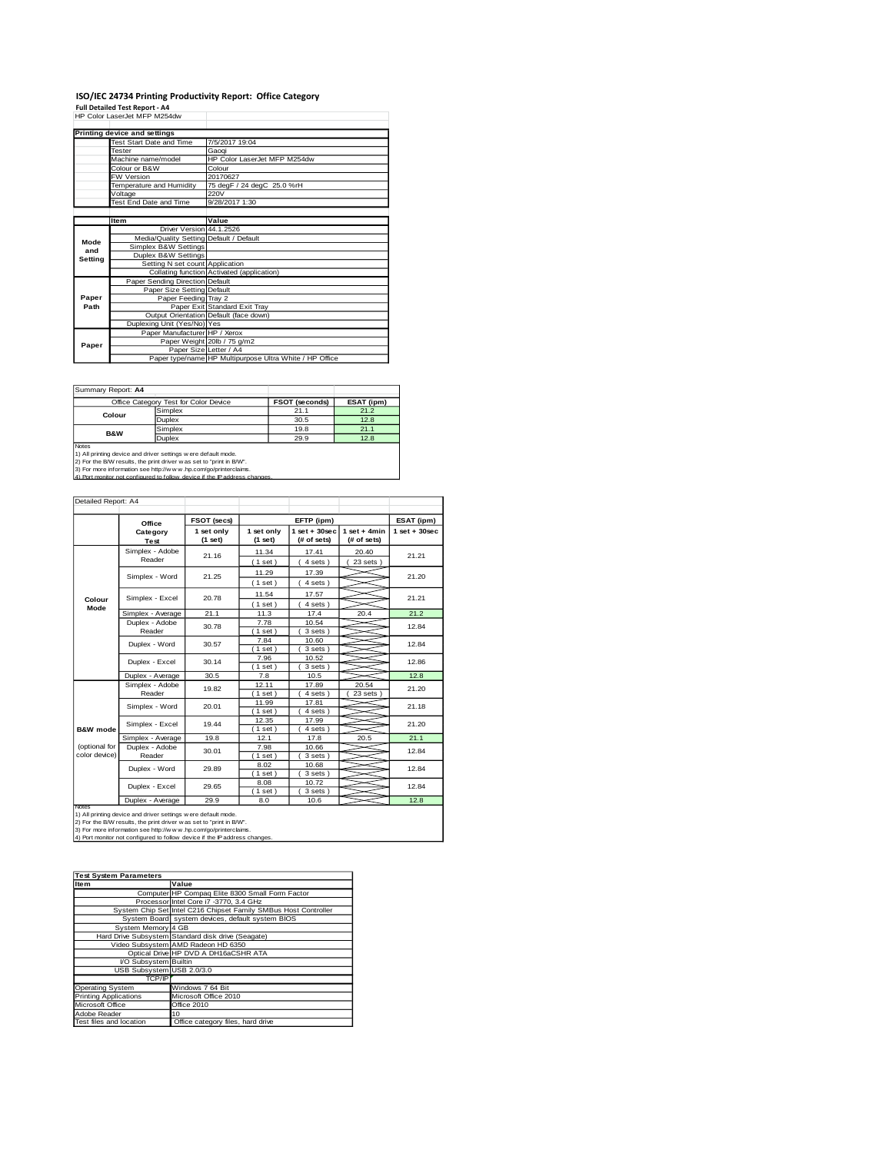# **ISO/IEC 24734 Printing Productivity Report: Office Category<br>Full Detailed Test Report - A4<br>HP Color LaserJet MFP M254dw**

|         | HP Color LaserJet MFP M254dw            |                                                         |
|---------|-----------------------------------------|---------------------------------------------------------|
|         | Printing device and settings            |                                                         |
|         | Test Start Date and Time                | 7/5/2017 19:04                                          |
|         | Tester                                  | Gaogi                                                   |
|         | Machine name/model                      | HP Color LaserJet MFP M254dw                            |
|         | Colour or B&W                           | Colour                                                  |
|         | <b>FW Version</b>                       | 20170627                                                |
|         | Temperature and Humidity                | 75 degF / 24 degC 25.0 %rH                              |
|         | Voltage                                 | 220V                                                    |
|         | Test End Date and Time                  | 9/28/2017 1:30                                          |
|         |                                         |                                                         |
|         | <b>Item</b>                             | Value                                                   |
|         | Driver Version 44.1.2526                |                                                         |
| Mode    | Media/Quality Setting Default / Default |                                                         |
| and     | Simplex B&W Settings                    |                                                         |
| Setting | Duplex B&W Settings                     |                                                         |
|         | Setting N set count Application         |                                                         |
|         |                                         | Collating function Activated (application)              |
|         | Paper Sending Direction Default         |                                                         |
|         | Paper Size Setting Default              |                                                         |
| Paper   | Paper Feeding Tray 2                    |                                                         |
| Path    |                                         | Paper Exit Standard Exit Tray                           |
|         |                                         | Output Orientation Default (face down)                  |
|         | Duplexing Unit (Yes/No) Yes             |                                                         |
|         | Paper Manufacturer HP / Xerox           |                                                         |
| Paper   |                                         | Paper Weight 20lb / 75 g/m2                             |
|         |                                         | Paper Size Letter / A4                                  |
|         |                                         | Paper type/name HP Multipurpose Ultra White / HP Office |

Summary Report: **A4**

| Office Category Test for Color Device |                                                                | <b>FSOT (seconds)</b> | ESAT (ipm) |
|---------------------------------------|----------------------------------------------------------------|-----------------------|------------|
| Colour                                | Simplex                                                        | 21.1                  | 21.2       |
|                                       | Duplex                                                         | 30.5                  | 12.8       |
| <b>B&amp;W</b>                        | Simplex                                                        | 19.8                  | 21.1       |
|                                       | Duplex                                                         | 29.9                  | 12.8       |
| Notes                                 | 1) All printing device and driver settings w ere default mode. |                       |            |

1) All printing device and driver settings were default mode.<br>2) For the B/W results, the print driver was set to "print in B/W".<br>3) For more information see http://www.hp.com/go/printerclaims.<br>4) Port monitor not configur

| Detailed Report: A4            |                           |                       |                                              |                                   |                               |                 |
|--------------------------------|---------------------------|-----------------------|----------------------------------------------|-----------------------------------|-------------------------------|-----------------|
|                                | Office                    | FSOT (secs)           |                                              | EFTP (ipm)                        |                               | ESAT (ipm)      |
|                                | Category<br>Test          | 1 set only<br>(1 set) | 1 set only<br>(1 set)                        | $1$ set + $30$ sec<br>(# of sets) | $1$ set + 4min<br>(# of sets) | $1$ set + 30sec |
|                                | Simplex - Adobe<br>Reader | 21.16                 | 11.34<br>17.41<br>20.40<br>(1 set)<br>4 sets |                                   | 23 sets 1                     | 21.21           |
|                                | Simplex - Word            | 21.25                 | 11.29<br>(1 set)                             | 17.39<br>4 sets)                  |                               | 21.20           |
| Colour                         | Simplex - Excel           | 20.78                 | 11.54<br>(1 set)                             | 17.57<br>$4 sets$ )               |                               | 21.21           |
| Mode                           | Simplex - Average         | 21.1                  | 11.3                                         | 17.4                              | 20.4                          | 21.2            |
|                                | Duplex - Adobe<br>Reader  | 30.78                 | 7.78<br>$1$ set $)$                          | 10.54<br>3 sets )                 |                               | 12.84           |
|                                | Duplex - Word             | 30.57                 | 7.84<br>$1$ set $)$                          | 10.60<br>3 sets)                  |                               | 12.84           |
|                                | Duplex - Excel            | 30.14                 | 7.96<br>$1$ set)                             | 10.52<br>3 sets 1                 |                               | 12.86           |
|                                | Duplex - Average          | 30.5                  | 7.8                                          | 10.5                              |                               | 12.8            |
|                                | Simplex - Adobe<br>Reader | 19.82                 | 12.11<br>(1 set)                             | 17.89<br>4 sets)                  | 20.54<br>23 sets              | 21.20           |
|                                | Simplex - Word            | 20.01                 | 11.99<br>$(1$ set                            | 17.81<br>4 sets                   |                               | 21.18           |
| <b>B&amp;W</b> mode            | Simplex - Excel           | 19.44                 | 12.35<br>(1 set)                             | 17.99<br>4 sets                   |                               | 21.20           |
|                                | Simplex - Average         | 19.8                  | 12.1                                         | 17.8                              | 20.5                          | 21.1            |
| (optional for<br>color device) | Duplex - Adobe<br>Reader  | 30.01                 | 7.98<br>$1$ set $)$                          | 10.66<br>3 sets)                  |                               | 12.84           |
|                                | Duplex - Word             | 29.89                 | 8.02<br>(1 set)                              | 10.68<br>3 sets)                  |                               | 12.84           |
|                                | Duplex - Excel            | 29.65                 | 8.08<br>10.72<br>3 sets)<br>(1 set)          |                                   |                               | 12.84           |
| Notes                          | Duplex - Average          | 29.9                  | 8.0                                          | 10.6                              |                               | 12.8            |

Notes<br>1) All printing device and driver settings were default mode.<br>2) For the B/W results, the print driver was set to "print in B/W".<br>3) For more information see http://www.hp.com/go/printerclaims.<br>4) Por monitor not con

| <b>Test System Parameters</b> |                                                                 |  |  |  |
|-------------------------------|-----------------------------------------------------------------|--|--|--|
| Item                          | Value                                                           |  |  |  |
|                               | Computer HP Compaq Elite 8300 Small Form Factor                 |  |  |  |
|                               | Processor Intel Core i7 -3770, 3.4 GHz                          |  |  |  |
|                               | System Chip Set Intel C216 Chipset Family SMBus Host Controller |  |  |  |
|                               | System Board system devices, default system BIOS                |  |  |  |
| System Memory 4 GB            |                                                                 |  |  |  |
|                               | Hard Drive Subsystem Standard disk drive (Seagate)              |  |  |  |
|                               | Video Subsystem AMD Radeon HD 6350                              |  |  |  |
|                               | Optical Drive HP DVD A DH16aCSHR ATA                            |  |  |  |
| I/O Subsystem Builtin         |                                                                 |  |  |  |
| USB Subsystem USB 2.0/3.0     |                                                                 |  |  |  |
| <b>TCP/IP</b>                 |                                                                 |  |  |  |
| <b>Operating System</b>       | Windows 7 64 Bit                                                |  |  |  |
| <b>Printing Applications</b>  | Microsoft Office 2010                                           |  |  |  |
| Microsoft Office              | Office 2010                                                     |  |  |  |
| Adobe Reader                  | 10                                                              |  |  |  |
| Test files and location       | Office category files, hard drive                               |  |  |  |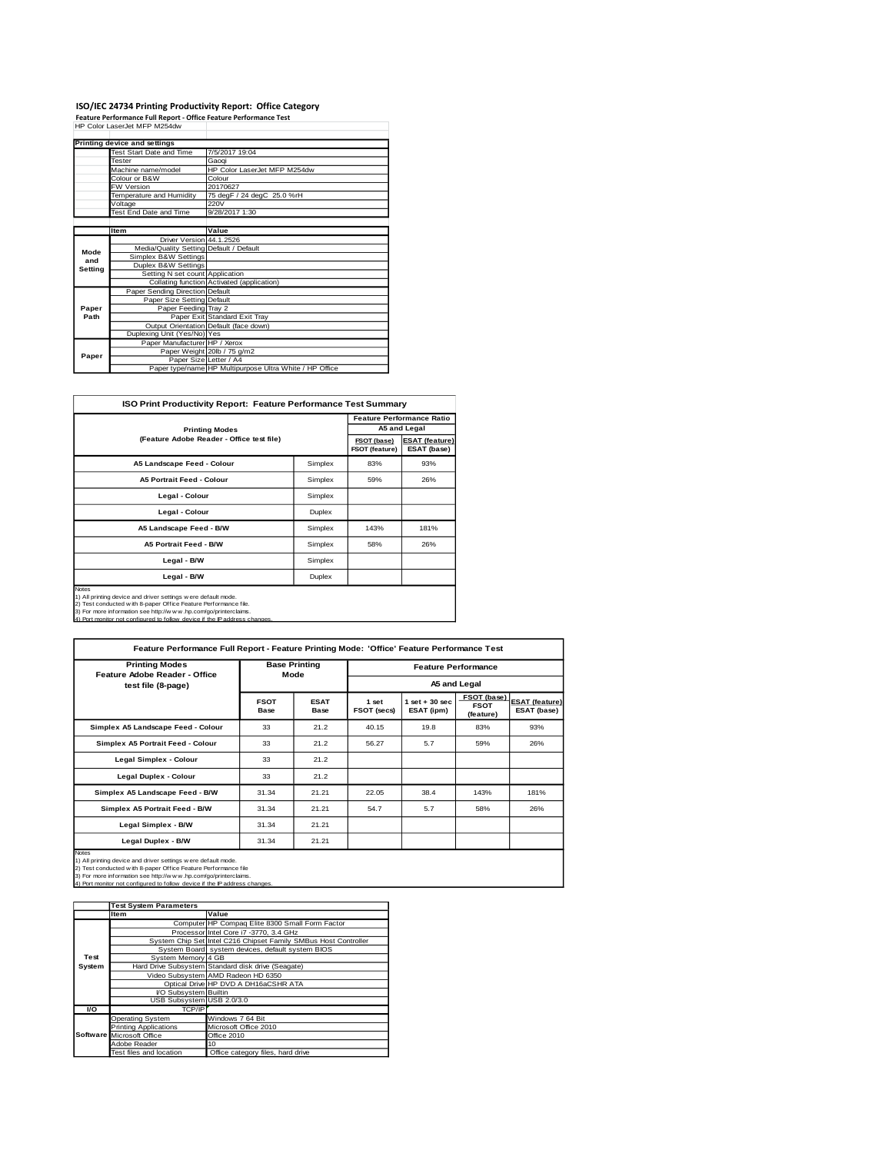# **ISO/IEC 24734 Printing Productivity Report: Office Category<br>Feature Performance Full Report - Office Feature Performance Test<br>HP Color LaserJet MFP M254dw**

|         | Printing device and settings            |                                                         |
|---------|-----------------------------------------|---------------------------------------------------------|
|         | Test Start Date and Time                | 7/5/2017 19:04                                          |
|         | Tester                                  | Gaogi                                                   |
|         | Machine name/model                      | HP Color LaserJet MFP M254dw                            |
|         | Colour or B&W                           | Colour                                                  |
|         | <b>FW Version</b>                       | 20170627                                                |
|         | Temperature and Humidity                | 75 degF / 24 degC 25.0 %rH                              |
|         | Voltage                                 | 220V                                                    |
|         | Test End Date and Time                  | 9/28/2017 1:30                                          |
|         |                                         |                                                         |
|         | <b>Item</b>                             | Value                                                   |
|         | Driver Version 44.1.2526                |                                                         |
| Mode    | Media/Quality Setting Default / Default |                                                         |
| and     | Simplex B&W Settings                    |                                                         |
| Setting | Duplex B&W Settings                     |                                                         |
|         | Setting N set count Application         |                                                         |
|         |                                         | Collating function Activated (application)              |
|         | Paper Sending Direction Default         |                                                         |
|         | Paper Size Setting Default              |                                                         |
| Paper   | Paper Feeding Tray 2                    |                                                         |
| Path    |                                         | Paper Exit Standard Exit Tray                           |
|         |                                         | Output Orientation Default (face down)                  |
|         | Duplexing Unit (Yes/No) Yes             |                                                         |
|         | Paper Manufacturer HP / Xerox           |                                                         |
| Paper   |                                         | Paper Weight 20lb / 75 g/m2                             |
|         | Paper Size Letter / A4                  |                                                         |
|         |                                         | Paper type/name HP Multipurpose Ultra White / HP Office |

| <b>ISO Print Productivity Report: Feature Performance Test Summary</b>                                                                                                                                                                                                                                |                               |                                      |              |  |  |  |
|-------------------------------------------------------------------------------------------------------------------------------------------------------------------------------------------------------------------------------------------------------------------------------------------------------|-------------------------------|--------------------------------------|--------------|--|--|--|
|                                                                                                                                                                                                                                                                                                       |                               |                                      |              |  |  |  |
| <b>Printing Modes</b>                                                                                                                                                                                                                                                                                 |                               |                                      | A5 and Legal |  |  |  |
| (Feature Adobe Reader - Office test file)                                                                                                                                                                                                                                                             | FSOT (base)<br>FSOT (feature) | <b>ESAT (feature)</b><br>ESAT (base) |              |  |  |  |
| A5 Landscape Feed - Colour                                                                                                                                                                                                                                                                            | Simplex                       | 83%                                  | 93%          |  |  |  |
| <b>A5 Portrait Feed - Colour</b>                                                                                                                                                                                                                                                                      | Simplex                       | 59%                                  | 26%          |  |  |  |
| Legal - Colour                                                                                                                                                                                                                                                                                        | Simplex                       |                                      |              |  |  |  |
| Legal - Colour                                                                                                                                                                                                                                                                                        | <b>Duplex</b>                 |                                      |              |  |  |  |
| A5 Landscape Feed - B/W                                                                                                                                                                                                                                                                               | Simplex                       | 143%                                 | 181%         |  |  |  |
| <b>A5 Portrait Feed - B/W</b>                                                                                                                                                                                                                                                                         | Simplex                       | 58%                                  | 26%          |  |  |  |
| Legal - B/W<br>Simplex                                                                                                                                                                                                                                                                                |                               |                                      |              |  |  |  |
| Legal - B/W<br>Duplex                                                                                                                                                                                                                                                                                 |                               |                                      |              |  |  |  |
| <b>Notes</b><br>1) All printing device and driver settings w ere default mode.<br>2) Test conducted with 8-paper Office Feature Performance file.<br>3) For more information see http://w w w .hp.com/go/printerclaims.<br>4) Port monitor not configured to follow, device if the IP address changes |                               |                                      |              |  |  |  |

| Feature Performance Full Report - Feature Printing Mode: 'Office' Feature Performance Test                                                                                                                                                                                                          |                      |                     |                            |                                 |                                         |                                      |
|-----------------------------------------------------------------------------------------------------------------------------------------------------------------------------------------------------------------------------------------------------------------------------------------------------|----------------------|---------------------|----------------------------|---------------------------------|-----------------------------------------|--------------------------------------|
| <b>Printing Modes</b><br>Feature Adobe Reader - Office                                                                                                                                                                                                                                              | <b>Base Printing</b> |                     | <b>Feature Performance</b> |                                 |                                         |                                      |
| test file (8-page)                                                                                                                                                                                                                                                                                  |                      | Mode                | A5 and Legal               |                                 |                                         |                                      |
|                                                                                                                                                                                                                                                                                                     | <b>FSOT</b><br>Base  | <b>ESAT</b><br>Base | 1 set<br>FSOT (secs)       | $1$ set $+30$ sec<br>ESAT (ipm) | FSOT (base)<br><b>FSOT</b><br>(feature) | <b>ESAT (feature)</b><br>ESAT (base) |
| Simplex A5 Landscape Feed - Colour                                                                                                                                                                                                                                                                  | 33                   | 21.2                | 40.15                      | 19.8                            | 83%                                     | 93%                                  |
| Simplex A5 Portrait Feed - Colour                                                                                                                                                                                                                                                                   | 33                   | 21.2                | 56.27                      | 5.7                             | 59%                                     | 26%                                  |
| Legal Simplex - Colour                                                                                                                                                                                                                                                                              | 33                   | 21.2                |                            |                                 |                                         |                                      |
| Legal Duplex - Colour                                                                                                                                                                                                                                                                               | 33                   | 21.2                |                            |                                 |                                         |                                      |
| Simplex A5 Landscape Feed - B/W                                                                                                                                                                                                                                                                     | 31.34                | 21.21               | 22.05                      | 38.4                            | 143%                                    | 181%                                 |
| Simplex A5 Portrait Feed - B/W                                                                                                                                                                                                                                                                      | 31.34                | 21.21               | 54.7                       | 5.7                             | 58%                                     | 26%                                  |
| Legal Simplex - B/W                                                                                                                                                                                                                                                                                 | 31.34                | 21.21               |                            |                                 |                                         |                                      |
| Legal Duplex - B/W                                                                                                                                                                                                                                                                                  | 31.34                | 21.21               |                            |                                 |                                         |                                      |
| <b>Notes</b><br>1) All printing device and driver settings were default mode.<br>2) Test conducted with 8-paper Office Feature Performance file<br>3) For more information see http://w w w .hp.com/go/printerclaims.<br>4) Port monitor not configured to follow device if the IP address changes. |                      |                     |                            |                                 |                                         |                                      |

|        | <b>Test System Parameters</b> |                                                                 |  |  |  |
|--------|-------------------------------|-----------------------------------------------------------------|--|--|--|
|        | <b>Item</b>                   | Value                                                           |  |  |  |
|        |                               | Computer HP Compaq Elite 8300 Small Form Factor                 |  |  |  |
|        |                               | Processor Intel Core i7 -3770, 3.4 GHz                          |  |  |  |
|        |                               | System Chip Set Intel C216 Chipset Family SMBus Host Controller |  |  |  |
|        |                               | System Board system devices, default system BIOS                |  |  |  |
| Test   | System Memory 4 GB            |                                                                 |  |  |  |
| System |                               | Hard Drive Subsystem Standard disk drive (Seagate)              |  |  |  |
|        |                               | Video Subsystem AMD Radeon HD 6350                              |  |  |  |
|        |                               | Optical Drive HP DVD A DH16aCSHR ATA                            |  |  |  |
|        | I/O Subsystem Builtin         |                                                                 |  |  |  |
|        | USB Subsystem USB 2.0/3.0     |                                                                 |  |  |  |
| VO     | TCP/IP                        |                                                                 |  |  |  |
|        | <b>Operating System</b>       | Windows 7 64 Bit                                                |  |  |  |
|        | <b>Printing Applications</b>  | Microsoft Office 2010                                           |  |  |  |
|        | Software Microsoft Office     | Office 2010                                                     |  |  |  |
|        | Adobe Reader                  | 10                                                              |  |  |  |
|        | Test files and location       | Office category files, hard drive                               |  |  |  |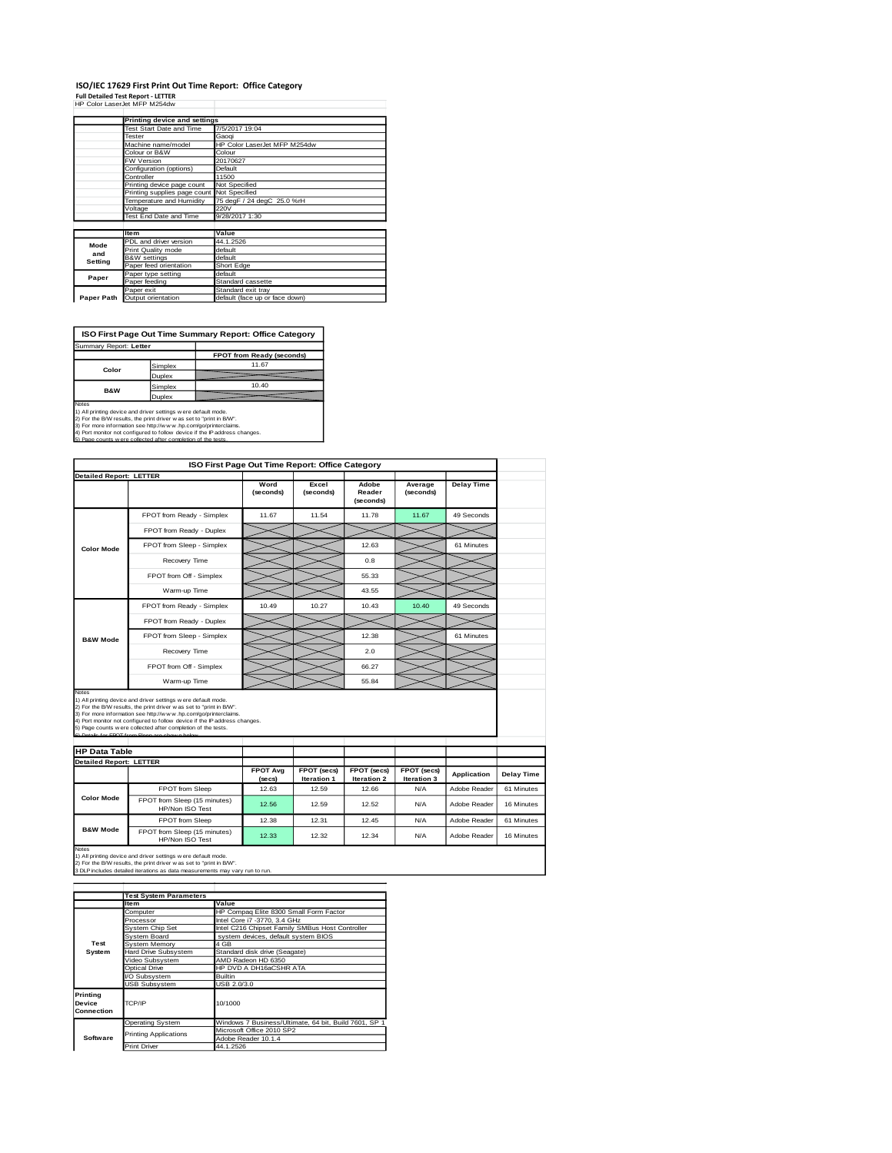## **ISO/IEC 17629 First Print Out Time Report: Office Category<br>Full Detailed Test Report - LETTER<br>HP Color LaserJet MFP M254dw**

|            | Printing device and settings               |                                |
|------------|--------------------------------------------|--------------------------------|
|            | Test Start Date and Time                   | 7/5/2017 19:04                 |
|            | Tester                                     | Gaogi                          |
|            | Machine name/model                         | HP Color LaserJet MFP M254dw   |
|            | Colour or B&W                              | Colour                         |
|            | FW Version                                 | 20170627                       |
|            | Configuration (options)                    | Default                        |
|            | Controller                                 | 11500                          |
|            | Printing device page count                 | Not Specified                  |
|            | Printing supplies page count Not Specified |                                |
|            | Temperature and Humidity                   | 75 degF / 24 degC 25.0 %rH     |
|            | Voltage                                    | 220V                           |
|            | Test End Date and Time                     | 9/28/2017 1:30                 |
|            |                                            |                                |
|            | Item                                       | Value                          |
| Mode       | PDL and driver version                     | 44.1.2526                      |
| and        | Print Quality mode                         | default                        |
|            | <b>B&amp;W</b> settings                    | default                        |
| Setting    | Paper feed orientation                     | Short Edge                     |
| Paper      | Paper type setting                         | default                        |
|            | Paper feeding                              | Standard cassette              |
|            | Paper exit                                 | Standard exit tray             |
| Paper Path | Output orientation                         | default (face up or face down) |

**ISO First Page Out Time Summary Report: Office Category**

| Summary Report: Letter   |         |                           |
|--------------------------|---------|---------------------------|
|                          |         | FPOT from Ready (seconds) |
| Color                    | Simplex | 11.67                     |
|                          | Duplex  |                           |
|                          | Simplex | 10.40                     |
| <b>B&amp;W</b><br>Duplex |         |                           |
|                          |         |                           |

Notes<br>1) All printing device and driver settings were default mode.<br>2) For the BW results, the print driver was set to "print in BW".<br>3) For more information see http://www.hp.com/gofprinterclaims.<br>4) Port monitor not conf

|                                                        | ISO First Page Out Time Report: Office Category                                                                                                                                                                                                                                                                                                                                                           |                   |                      |                              |                      |                    |                                 |
|--------------------------------------------------------|-----------------------------------------------------------------------------------------------------------------------------------------------------------------------------------------------------------------------------------------------------------------------------------------------------------------------------------------------------------------------------------------------------------|-------------------|----------------------|------------------------------|----------------------|--------------------|---------------------------------|
| <b>Detailed Report: LETTER</b>                         |                                                                                                                                                                                                                                                                                                                                                                                                           | Word<br>(seconds) | Excel<br>(seconds)   | Adobe<br>Reader<br>(seconds) | Average<br>(seconds) | <b>Delay Time</b>  |                                 |
|                                                        | FPOT from Ready - Simplex                                                                                                                                                                                                                                                                                                                                                                                 | 11.67             | 11.54                | 11.78                        | 11.67                | 49 Seconds         |                                 |
|                                                        | FPOT from Ready - Duplex                                                                                                                                                                                                                                                                                                                                                                                  |                   |                      |                              |                      |                    |                                 |
| <b>Color Mode</b>                                      | FPOT from Sleep - Simplex                                                                                                                                                                                                                                                                                                                                                                                 |                   |                      | 12.63                        |                      | 61 Minutes         |                                 |
|                                                        | Recovery Time                                                                                                                                                                                                                                                                                                                                                                                             |                   |                      | 0.8                          |                      |                    |                                 |
|                                                        | FPOT from Off - Simplex                                                                                                                                                                                                                                                                                                                                                                                   |                   |                      | 55.33                        |                      |                    |                                 |
|                                                        | Warm-up Time                                                                                                                                                                                                                                                                                                                                                                                              |                   |                      | 43.55                        |                      |                    |                                 |
|                                                        | FPOT from Ready - Simplex                                                                                                                                                                                                                                                                                                                                                                                 | 10.49             | 10.27                | 10.43                        | 10.40                | 49 Seconds         |                                 |
|                                                        | FPOT from Ready - Duplex                                                                                                                                                                                                                                                                                                                                                                                  |                   |                      |                              |                      |                    |                                 |
| <b>B&amp;W Mode</b>                                    | FPOT from Sleep - Simplex                                                                                                                                                                                                                                                                                                                                                                                 |                   |                      | 12.38                        |                      | 61 Minutes         |                                 |
|                                                        | Recovery Time                                                                                                                                                                                                                                                                                                                                                                                             |                   |                      | 2.0                          |                      |                    |                                 |
|                                                        | FPOT from Off - Simplex                                                                                                                                                                                                                                                                                                                                                                                   |                   |                      | 66.27                        |                      |                    |                                 |
|                                                        |                                                                                                                                                                                                                                                                                                                                                                                                           |                   |                      |                              |                      |                    |                                 |
| Notes                                                  | Warm-up Time                                                                                                                                                                                                                                                                                                                                                                                              |                   |                      | 55.84                        |                      |                    |                                 |
| <b>HP Data Table</b><br><b>Detailed Report: LETTER</b> | 1) All printing device and driver settings w ere default mode.<br>2) For the B/W results, the print driver was set to "print in B/W".<br>3) For more information see http://www.hp.com/go/printerclaims.<br>4) Port monitor not configured to follow device if the IP address changes.<br>5) Page counts w ere collected after completion of the tests.<br>6) Details for FROT from Sleep are shown below | <b>FPOT Ava</b>   | FPOT (secs)          | FPOT (secs)                  | FPOT (secs)          | <b>Application</b> |                                 |
|                                                        |                                                                                                                                                                                                                                                                                                                                                                                                           | (secs)<br>12.63   | Iteration 1<br>12.59 | Iteration 2<br>12.66         | Iteration 3<br>N/A   | Adobe Reader       | <b>Delay Time</b><br>61 Minutes |
| <b>Color Mode</b>                                      | FPOT from Sleep<br>FPOT from Sleep (15 minutes)<br>HP/Non ISO Test                                                                                                                                                                                                                                                                                                                                        | 12.56             | 12.59                | 12.52                        | N/A                  | Adobe Reader       | 16 Minutes                      |
| <b>B&amp;W Mode</b>                                    | FPOT from Sleep                                                                                                                                                                                                                                                                                                                                                                                           | 12.38             | 12.31                | 12.45                        | N/A                  | Adobe Reader       | 61 Minutes                      |

1) All printing device and driver settings w ere default mode.<br>2) For the B/W results, the print driver w as set to "print in B/W".<br>3 DLP includes detailed iterations as data measurements may vary run to run.

|                                  | <b>Test System Parameters</b> |                                                       |
|----------------------------------|-------------------------------|-------------------------------------------------------|
|                                  | Item                          | Value                                                 |
|                                  | Computer                      | HP Compaq Elite 8300 Small Form Factor                |
|                                  | Processor                     | Intel Core i7 -3770, 3.4 GHz                          |
|                                  | System Chip Set               | Intel C216 Chipset Family SMBus Host Controller       |
|                                  | System Board                  | system devices, default system BIOS                   |
| Test                             | System Memory                 | 4 GB                                                  |
| System                           | Hard Drive Subsystem          | Standard disk drive (Seagate)                         |
|                                  | Video Subsystem               | AMD Radeon HD 6350                                    |
|                                  | Optical Drive                 | HP DVD A DH16aCSHR ATA                                |
|                                  | VO Subsystem                  | <b>Builtin</b>                                        |
|                                  | <b>USB Subsystem</b>          | USB 2.0/3.0                                           |
| Printing<br>Device<br>Connection | TCP/IP                        | 10/1000                                               |
|                                  | <b>Operating System</b>       | Windows 7 Business/Ultimate, 64 bit, Build 7601, SP 1 |
|                                  | <b>Printing Applications</b>  | Microsoft Office 2010 SP2                             |
| Software                         |                               | Adobe Reader 10.1.4                                   |
|                                  | <b>Print Driver</b>           | 44.1.2526                                             |